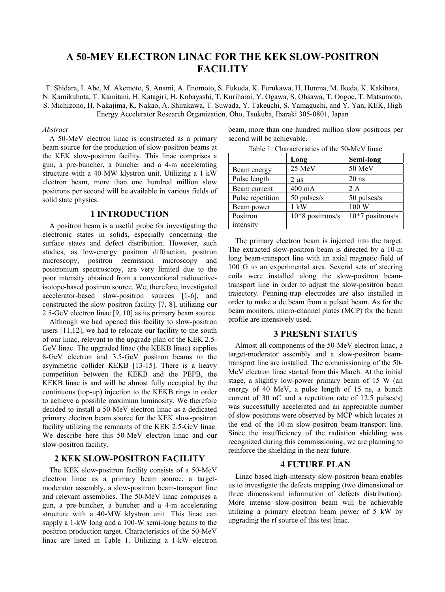# **A 50-MEV ELECTRON LINAC FOR THE KEK SLOW-POSITRON FACILITY**

T. Shidara, I. Abe, M. Akemoto, S. Anami, A. Enomoto, S. Fukuda, K. Furukawa, H. Honma, M. Ikeda, K. Kakihara, N. Kamikubota, T. Kamitani, H. Katagiri, H. Kobayashi, T. Kuriharai, Y. Ogawa, S. Ohsawa, T. Oogoe, T. Matsumoto, S. Michizono, H. Nakajima, K. Nakao, A. Shirakawa, T. Suwada, Y. Takeuchi, S. Yamaguchi, and Y. Yan, KEK, High Energy Accelerator Research Organization, Oho, Tsukuba, Ibaraki 305-0801, Japan

> Positron intensity

#### *Abstract*

A 50-MeV electron linac is constructed as a primary beam source for the production of slow-positron beams at the KEK slow-positron facility. This linac comprises a gun, a pre-buncher, a buncher and a 4-m accelerating structure with a 40-MW klystron unit. Utilizing a 1-kW electron beam, more than one hundred million slow positrons per second will be available in various fields of solid state physics.

### **1 INTRODUCTION**

A positron beam is a useful probe for investigating the electronic states in solids, especially concerning the surface states and defect distribution. However, such studies, as low-energy positron diffraction, positron microscopy, positron reemission microscopy and positronium spectroscopy, are very limited due to the poor intensity obtained from a conventional radioactiveisotope-based positron source. We, therefore, investigated accelerator-based slow-positron sources [1-6], and constructed the slow-positron facility [7, 8], utilizing our 2.5-GeV electron linac [9, 10] as its primary beam source.

Although we had opened this facility to slow-positron users [11,12], we had to relocate our facility to the south of our linac, relevant to the upgrade plan of the KEK 2.5- GeV linac. The upgraded linac (the KEKB linac) supplies 8-GeV electron and 3.5-GeV positron beams to the asymmetric collider KEKB [13-15]. There is a heavy competition between the KEKB and the PEPB, the KEKB linac is and will be almost fully occupied by the continuous (top-up) injection to the KEKB rings in order to achieve a possible maximum luminosity. We therefore decided to install a 50-MeV electron linac as a dedicated primary electron beam source for the KEK slow-positron facility utilizing the remnants of the KEK 2.5-GeV linac. We describe here this 50-MeV electron linac and our slow-positron facility.

#### **2 KEK SLOW-POSITRON FACILITY**

The KEK slow-positron facility consists of a 50-MeV electron linac as a primary beam source, a targetmoderator assembly, a slow-positron beam-transport line and relevant assemblies. The 50-MeV linac comprises a gun, a pre-buncher, a buncher and a 4-m accelerating structure with a 40-MW klystron unit. This linac can supply a 1-kW long and a 100-W semi-long beams to the positron production target. Characteristics of the 50-MeV linac are listed in Table 1. Utilizing a 1-kW electron beam, more than one hundred million slow positrons per second will be achievable.

|                  | Long             | Semi-long     |
|------------------|------------------|---------------|
| Beam energy      | $25$ MeV         | $50$ MeV      |
| Pulse length     | 2 µs             | $20$ ns       |
| Beam current     | $400 \text{ mA}$ | 2 A           |
| Pulse repetition | $50$ pulses/s    | $50$ pulses/s |
| Beam power       | kW               |               |

10\*8 positrons/s 10\*7 positrons/s

Table 1: Characteristics of the 50-MeV linac

The primary electron beam is injected into the target. The extracted slow-positron beam is directed by a 10-m long beam-transport line with an axial magnetic field of 100 G to an experimental area. Several sets of steering coils were installed along the slow-positron beamtransport line in order to adjust the slow-positron beam trajectory. Penning-trap electrodes are also installed in order to make a dc beam from a pulsed beam. As for the beam monitors, micro-channel plates (MCP) for the beam profile are intensively used.

### **3 PRESENT STATUS**

Almost all components of the 50-MeV electron linac, a target-moderator assembly and a slow-positron beamtransport line are installed. The commissioning of the 50- MeV electron linac started from this March. At the initial stage, a slightly low-power primary beam of 15 W (an energy of 40 MeV, a pulse length of 15 ns, a bunch current of 30 nC and a repetition rate of 12.5 pulses/s) was successfully accelerated and an appreciable number of slow positrons were observed by MCP which locates at the end of the 10-m slow-positron beam-transport line. Since the insufficiency of the radiation shielding was recognized during this commissioning, we are planning to reinforce the shielding in the near future.

## **4 FUTURE PLAN**

Linac based high-intensity slow-positron beam enables us to investigate the defects mapping (two dimensional or three dimensional information of defects distribution). More intense slow-positron beam will be achievable utilizing a primary electron beam power of 5 kW by upgrading the rf source of this test linac.